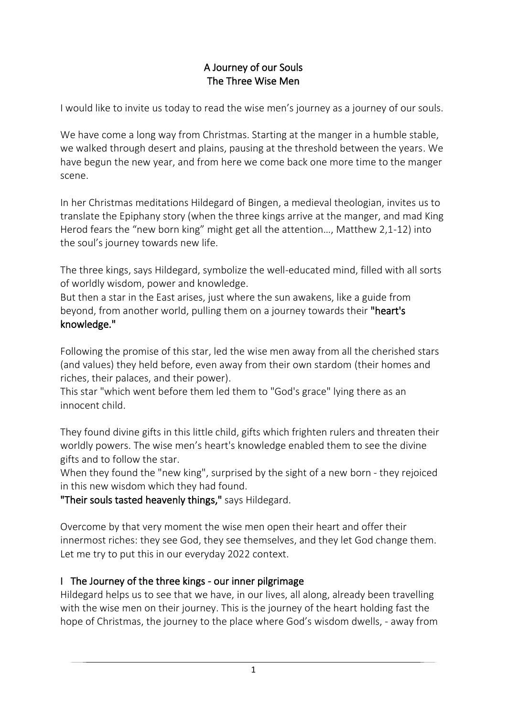## A Journey of our Souls The Three Wise Men

I would like to invite us today to read the wise men's journey as a journey of our souls.

We have come a long way from Christmas. Starting at the manger in a humble stable, we walked through desert and plains, pausing at the threshold between the years. We have begun the new year, and from here we come back one more time to the manger scene.

In her Christmas meditations Hildegard of Bingen, a medieval theologian, invites us to translate the Epiphany story (when the three kings arrive at the manger, and mad King Herod fears the "new born king" might get all the attention…, Matthew 2,1-12) into the soul's journey towards new life.

The three kings, says Hildegard, symbolize the well-educated mind, filled with all sorts of worldly wisdom, power and knowledge.

But then a star in the East arises, just where the sun awakens, like a guide from beyond, from another world, pulling them on a journey towards their "heart's knowledge."

Following the promise of this star, led the wise men away from all the cherished stars (and values) they held before, even away from their own stardom (their homes and riches, their palaces, and their power).

This star "which went before them led them to "God's grace" lying there as an innocent child.

They found divine gifts in this little child, gifts which frighten rulers and threaten their worldly powers. The wise men's heart's knowledge enabled them to see the divine gifts and to follow the star.

When they found the "new king", surprised by the sight of a new born - they rejoiced in this new wisdom which they had found.

"Their souls tasted heavenly things," says Hildegard.

Overcome by that very moment the wise men open their heart and offer their innermost riches: they see God, they see themselves, and they let God change them. Let me try to put this in our everyday 2022 context.

## I The Journey of the three kings - our inner pilgrimage

Hildegard helps us to see that we have, in our lives, all along, already been travelling with the wise men on their journey. This is the journey of the heart holding fast the hope of Christmas, the journey to the place where God's wisdom dwells, - away from